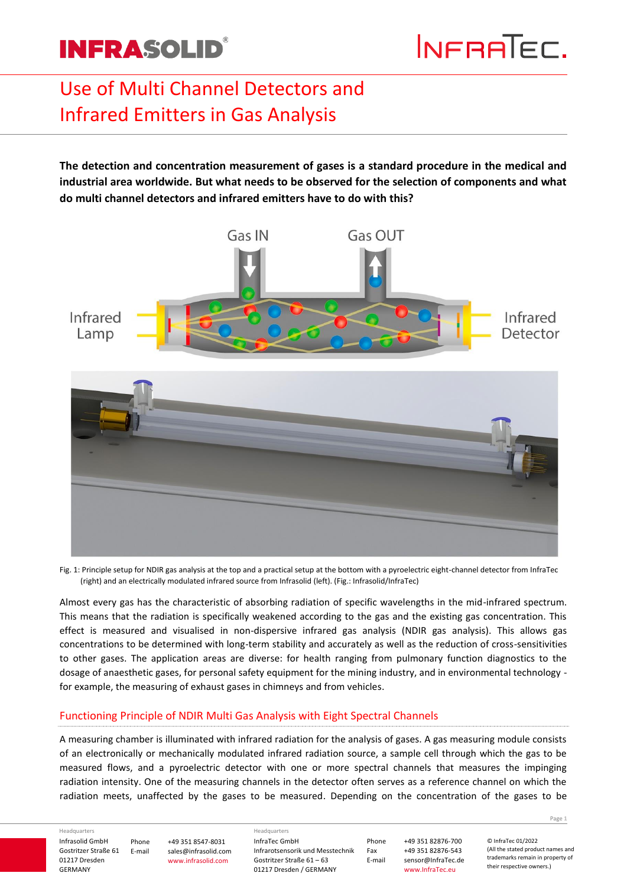# Use of Multi Channel Detectors and Infrared Emitters in Gas Analysis

**The detection and concentration measurement of gases is a standard procedure in the medical and industrial area worldwide. But what needs to be observed for the selection of components and what do multi channel detectors and infrared emitters have to do with this?**



Fig. 1: Principle setup for NDIR gas analysis at the top and a practical setup at the bottom with a pyroelectric eight-channel detector from InfraTec (right) and an electrically modulated infrared source from Infrasolid (left). (Fig.: Infrasolid/InfraTec)

Almost every gas has the characteristic of absorbing radiation of specific wavelengths in the mid-infrared spectrum. This means that the radiation is specifically weakened according to the gas and the existing gas concentration. This effect is measured and visualised in non-dispersive infrared gas analysis (NDIR gas analysis). This allows gas concentrations to be determined with long-term stability and accurately as well as the reduction of cross-sensitivities to other gases. The application areas are diverse: for health ranging from pulmonary function diagnostics to the dosage of anaesthetic gases, for personal safety equipment for the mining industry, and in environmental technology for example, the measuring of exhaust gases in chimneys and from vehicles.

### Functioning Principle of NDIR Multi Gas Analysis with Eight Spectral Channels

A measuring chamber is illuminated with infrared radiation for the analysis of gases. A gas measuring module consists of an electronically or mechanically modulated infrared radiation source, a sample cell through which the gas to be measured flows, and a pyroelectric detector with one or more spectral channels that measures the impinging radiation intensity. One of the measuring channels in the detector often serves as a reference channel on which the radiation meets, unaffected by the gases to be measured. Depending on the concentration of the gases to be

Headquarters

Infrasolid GmbH Gostritzer Straße 61 01217 Dresden GERMANY Phone E-mail +49 351 8547-8031 sales@infrasolid.com www.infrasolid.com

InfraTec GmbH Infrarotsensorik und Messtechnik Gostritzer Straße 61 – 63 01217 Dresden / GERMANY Headquarters

Phone +49 351 82876-700 Fax +49 351 82876-543 sensor@InfraTec.de www.InfraTec.eu

Page **1**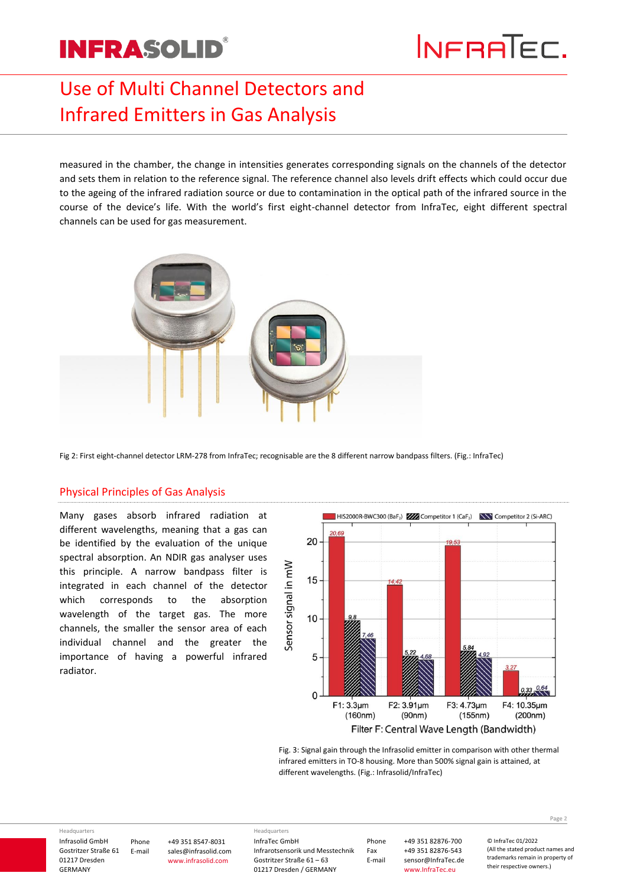## Use of Multi Channel Detectors and Infrared Emitters in Gas Analysis

measured in the chamber, the change in intensities generates corresponding signals on the channels of the detector and sets them in relation to the reference signal. The reference channel also levels drift effects which could occur due to the ageing of the infrared radiation source or due to contamination in the optical path of the infrared source in the course of the device's life. With the world's first eight-channel detector from InfraTec, eight different spectral channels can be used for gas measurement.



Fig 2: First eight-channel detector LRM-278 from InfraTec; recognisable are the 8 different narrow bandpass filters. (Fig.: InfraTec)

### Physical Principles of Gas Analysis

Many gases absorb infrared radiation at different wavelengths, meaning that a gas can be identified by the evaluation of the unique spectral absorption. An NDIR gas analyser uses this principle. A narrow bandpass filter is integrated in each channel of the detector which corresponds to the absorption wavelength of the target gas. The more channels, the smaller the sensor area of each individual channel and the greater the importance of having a powerful infrared radiator.



Fig. 3: Signal gain through the Infrasolid emitter in comparison with other thermal infrared emitters in TO-8 housing. More than 500% signal gain is attained, at different wavelengths. (Fig.: Infrasolid/InfraTec)

Headquarters

Infrasolid GmbH Gostritzer Straße 61 01217 Dresden GERMANY Phone E-mail +49 351 8547-8031 sales@infrasolid.com www.infrasolid.com

InfraTec GmbH Infrarotsensorik und Messtechnik Gostritzer Straße 61 – 63 01217 Dresden / GERMANY Headquarters

Phone +49 351 82876-700 Fax +49 351 82876-543<br>E-mail sensor@InfraTec.de sensor@InfraTec.de www.InfraTec.eu

Page **2**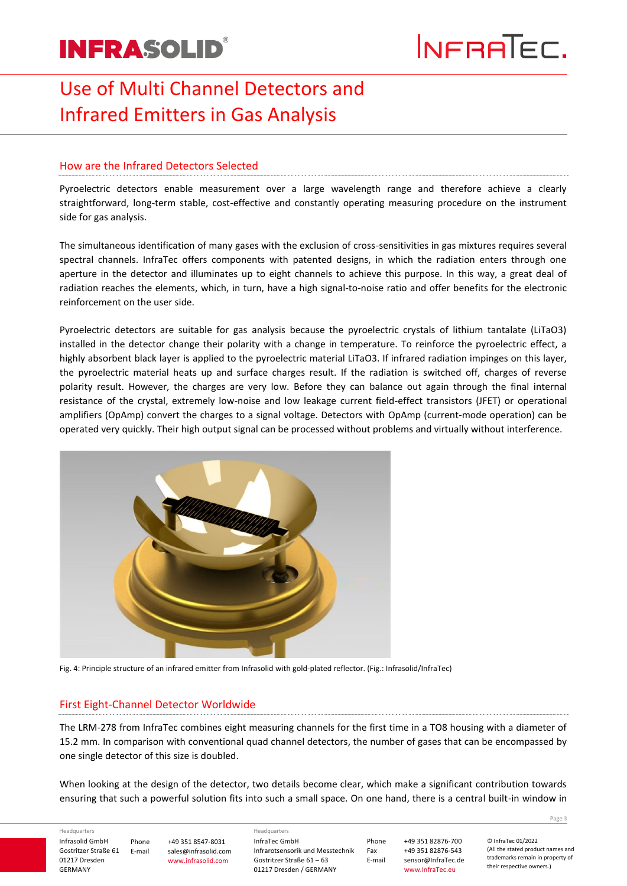## Use of Multi Channel Detectors and Infrared Emitters in Gas Analysis

### How are the Infrared Detectors Selected

Pyroelectric detectors enable measurement over a large wavelength range and therefore achieve a clearly straightforward, long-term stable, cost-effective and constantly operating measuring procedure on the instrument side for gas analysis.

The simultaneous identification of many gases with the exclusion of cross-sensitivities in gas mixtures requires several spectral channels. InfraTec offers components with patented designs, in which the radiation enters through one aperture in the detector and illuminates up to eight channels to achieve this purpose. In this way, a great deal of radiation reaches the elements, which, in turn, have a high signal-to-noise ratio and offer benefits for the electronic reinforcement on the user side.

Pyroelectric detectors are suitable for gas analysis because the pyroelectric crystals of lithium tantalate (LiTaO3) installed in the detector change their polarity with a change in temperature. To reinforce the pyroelectric effect, a highly absorbent black layer is applied to the pyroelectric material LiTaO3. If infrared radiation impinges on this layer, the pyroelectric material heats up and surface charges result. If the radiation is switched off, charges of reverse polarity result. However, the charges are very low. Before they can balance out again through the final internal resistance of the crystal, extremely low-noise and low leakage current field-effect transistors (JFET) or operational amplifiers (OpAmp) convert the charges to a signal voltage. Detectors with OpAmp (current-mode operation) can be operated very quickly. Their high output signal can be processed without problems and virtually without interference.



Fig. 4: Principle structure of an infrared emitter from Infrasolid with gold-plated reflector. (Fig.: Infrasolid/InfraTec)

### First Eight-Channel Detector Worldwide

The LRM-278 from InfraTec combines eight measuring channels for the first time in a TO8 housing with a diameter of 15.2 mm. In comparison with conventional quad channel detectors, the number of gases that can be encompassed by one single detector of this size is doubled.

When looking at the design of the detector, two details become clear, which make a significant contribution towards ensuring that such a powerful solution fits into such a small space. On one hand, there is a central built-in window in

Headquarters

Infrasolid GmbH Gostritzer Straße 61 01217 Dresden GERMANY Phone E-mail +49 351 8547-8031 sales@infrasolid.com www.infrasolid.com

InfraTec GmbH Infrarotsensorik und Messtechnik Gostritzer Straße 61 – 63 01217 Dresden / GERMANY Headquarters

Phone +49 351 82876-700 Fax +49 351 82876-543 sensor@InfraTec.de www.InfraTec.eu

Page **3**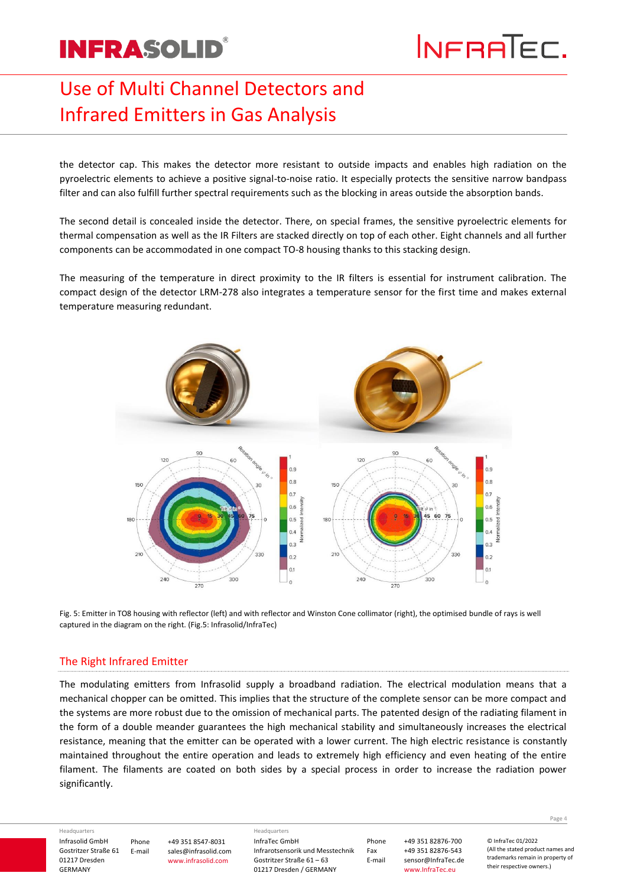## Use of Multi Channel Detectors and Infrared Emitters in Gas Analysis

the detector cap. This makes the detector more resistant to outside impacts and enables high radiation on the pyroelectric elements to achieve a positive signal-to-noise ratio. It especially protects the sensitive narrow bandpass filter and can also fulfill further spectral requirements such as the blocking in areas outside the absorption bands.

The second detail is concealed inside the detector. There, on special frames, the sensitive pyroelectric elements for thermal compensation as well as the IR Filters are stacked directly on top of each other. Eight channels and all further components can be accommodated in one compact TO-8 housing thanks to this stacking design.

The measuring of the temperature in direct proximity to the IR filters is essential for instrument calibration. The compact design of the detector LRM-278 also integrates a temperature sensor for the first time and makes external temperature measuring redundant.



Fig. 5: Emitter in TO8 housing with reflector (left) and with reflector and Winston Cone collimator (right), the optimised bundle of rays is well captured in the diagram on the right. (Fig.5: Infrasolid/InfraTec)

### The Right Infrared Emitter

The modulating emitters from Infrasolid supply a broadband radiation. The electrical modulation means that a mechanical chopper can be omitted. This implies that the structure of the complete sensor can be more compact and the systems are more robust due to the omission of mechanical parts. The patented design of the radiating filament in the form of a double meander guarantees the high mechanical stability and simultaneously increases the electrical resistance, meaning that the emitter can be operated with a lower current. The high electric resistance is constantly maintained throughout the entire operation and leads to extremely high efficiency and even heating of the entire filament. The filaments are coated on both sides by a special process in order to increase the radiation power significantly.

Headquarters

Infrasolid GmbH Gostritzer Straße 61 01217 Dresden GERMANY

Phone E-mail +49 351 8547-8031 sales@infrasolid.com www.infrasolid.com

InfraTec GmbH Infrarotsensorik und Messtechnik Gostritzer Straße 61 – 63 01217 Dresden / GERMANY Headquarters

Phone +49 351 82876-700 Fax +49 351 82876-543 sensor@InfraTec.de www.InfraTec.eu

© InfraTec 01/2022 (All the stated product names and trademarks remain in property of

their respective owners.)

Page **4**